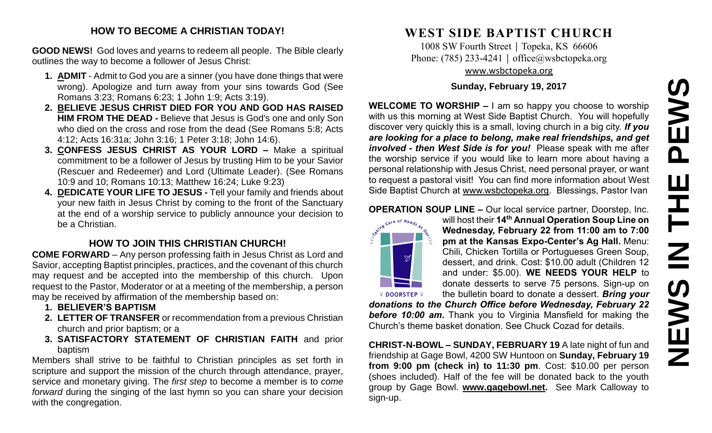# **NEWS IN THE PEWS**PEWS HH<br>N<br>N<br>N **SVEMS**

#### **HOW TO BECOME A CHRISTIAN TODAY!**

**GOOD NEWS!** God loves and yearns to redeem all people. The Bible clearly outlines the way to become a follower of Jesus Christ:

- **1. ADMIT** Admit to God you are a sinner (you have done things that were wrong). Apologize and turn away from your sins towards God (See Romans 3:23; Romans 6:23; 1 John 1:9; Acts 3:19).
- **2. BELIEVE JESUS CHRIST DIED FOR YOU AND GOD HAS RAISED HIM FROM THE DEAD -** Believe that Jesus is God's one and only Son who died on the cross and rose from the dead (See Romans 5:8; Acts 4:12; Acts 16:31a; John 3:16; 1 Peter 3:18; John 14:6).
- **3. CONFESS JESUS CHRIST AS YOUR LORD –** Make a spiritual commitment to be a follower of Jesus by trusting Him to be your Savior (Rescuer and Redeemer) and Lord (Ultimate Leader). (See Romans 10:9 and 10; Romans 10:13; Matthew 16:24; Luke 9:23)
- **4. DEDICATE YOUR LIFE TO JESUS -** Tell your family and friends about your new faith in Jesus Christ by coming to the front of the Sanctuary at the end of a worship service to publicly announce your decision to be a Christian.

## **HOW TO JOIN THIS CHRISTIAN CHURCH!**

**COME FORWARD** – Any person professing faith in Jesus Christ as Lord and Savior, accepting Baptist principles, practices, and the covenant of this church may request and be accepted into the membership of this church. Upon request to the Pastor, Moderator or at a meeting of the membership, a person may be received by affirmation of the membership based on:

- **1. BELIEVER'S BAPTISM**
- **2. LETTER OF TRANSFER** or recommendation from a previous Christian church and prior baptism; or a
- **3. SATISFACTORY STATEMENT OF CHRISTIAN FAITH** and prior baptism

Members shall strive to be faithful to Christian principles as set forth in scripture and support the mission of the church through attendance, prayer, service and monetary giving. The *first step* to become a member is to *come forward* during the singing of the last hymn so you can share your decision with the congregation.

# **WEST SIDE BAPTIST CHURCH**

1008 SW Fourth Street | Topeka, KS 66606 Phone: (785) 233-4241 │ [office@wsbctopeka.org](mailto:office@wsbctopeka.org) [www.wsbctopeka.org](http://www.wsbctopeka.org/)

#### **Sunday, February 19, 2017**

**WELCOME TO WORSHIP –** I am so happy you choose to worship with us this morning at West Side Baptist Church. You will hopefully discover very quickly this is a small, loving church in a big city. *If you are looking for a place to belong, make real friendships, and get involved - then West Side is for you!* Please speak with me after the worship service if you would like to learn more about having a personal relationship with Jesus Christ, need personal prayer, or want to request a pastoral visit! You can find more information about West Side Baptist Church at [www.wsbctopeka.org.](http://www.wsbctopeka.org/) Blessings, Pastor Ivan

**OPERATION SOUP LINE –** Our local service partner, Doorstep, Inc.



will host their **14th Annual Operation Soup Line on Wednesday, February 22 from 11:00 am to 7:00 pm at the Kansas Expo-Center's Ag Hall.** Menu: Chili, Chicken Tortilla or Portugueses Green Soup, dessert, and drink. Cost: \$10.00 adult (Children 12 and under: \$5.00). **WE NEEDS YOUR HELP** to donate desserts to serve 75 persons. Sign-up on the bulletin board to donate a dessert. *Bring your* 

*donations to the Church Office before Wednesday, February 22 before 10:00 am.* Thank you to Virginia Mansfield for making the Church's theme basket donation. See Chuck Cozad for details.

**CHRIST-N-BOWL – SUNDAY, FEBRUARY 19** A late night of fun and friendship at Gage Bowl, 4200 SW Huntoon on **Sunday, February 19 from 9:00 pm (check in) to 11:30 pm**. Cost: \$10.00 per person (shoes included). Half of the fee will be donated back to the youth group by Gage Bowl. **[www.gagebowl.net.](http://www.gagebowl.net/)** See Mark Calloway to sign-up.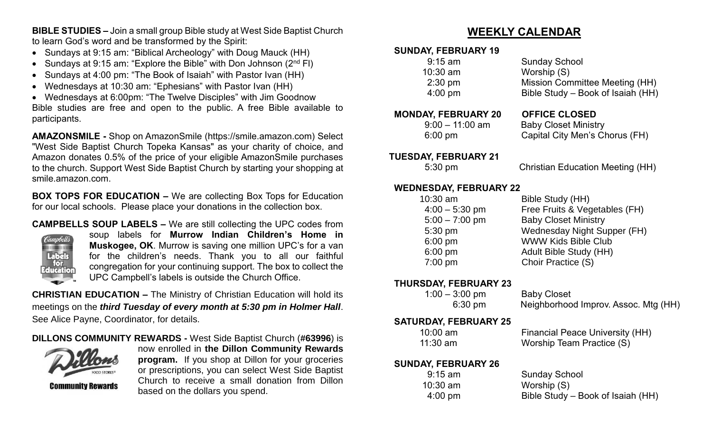**BIBLE STUDIES –** Join a small group Bible study at West Side Baptist Church to learn God's word and be transformed by the Spirit:

- Sundays at 9:15 am: "Biblical Archeology" with Doug Mauck (HH)
- Sundays at 9:15 am: "Explore the Bible" with Don Johnson  $(2^{nd}$  FI)
- Sundays at 4:00 pm: "The Book of Isaiah" with Pastor Ivan (HH)
- Wednesdays at 10:30 am: "Ephesians" with Pastor Ivan (HH)

 Wednesdays at 6:00pm: "The Twelve Disciples" with Jim Goodnow Bible studies are free and open to the public. A free Bible available to participants.

**AMAZONSMILE -** Shop on AmazonSmile (https://smile.amazon.com) Select "West Side Baptist Church Topeka Kansas" as your charity of choice, and Amazon donates 0.5% of the price of your eligible AmazonSmile purchases to the church. Support West Side Baptist Church by starting your shopping at smile.amazon.com.

**BOX TOPS FOR EDUCATION –** We are collecting Box Tops for Education for our local schools. Please place your donations in the collection box.

**CAMPBELLS SOUP LABELS –** We are still collecting the UPC codes from



soup labels for **Murrow Indian Children's Home in Muskogee, OK**. Murrow is saving one million UPC's for a van for the children's needs. Thank you to all our faithful congregation for your continuing support. The box to collect the UPC Campbell's labels is outside the Church Office.

**CHRISTIAN EDUCATION –** The Ministry of Christian Education will hold its meetings on the *third Tuesday of every month at 5:30 pm in Holmer Hall*. See Alice Payne, Coordinator, for details.

#### **DILLONS COMMUNITY REWARDS -** West Side Baptist Church (**#63996**) is



**Community Rewards** 

now enrolled in **the Dillon Community Rewards program.** If you shop at Dillon for your groceries or prescriptions, you can select West Side Baptist Church to receive a small donation from Dillon based on the dollars you spend.

# **WEEKLY CALENDAR**

#### **SUNDAY, FEBRUARY 19**

| $9:15$ am         | <b>Sunday School</b>              |
|-------------------|-----------------------------------|
| $10:30$ am        | Worship (S)                       |
| $2:30$ pm         | Mission Committee Meeting (HH)    |
| $4:00 \text{ pm}$ | Bible Study – Book of Isaiah (HH) |
|                   |                                   |

#### **MONDAY, FEBRUARY 20 OFFICE CLOSED**

9:00 – 11:00 am Baby Closet Ministry

6:00 pm Capital City Men's Chorus (FH)

#### **TUESDAY, FEBRUARY 21**

5:30 pm Christian Education Meeting (HH)

#### **WEDNESDAY, FEBRUARY 22**

| $10:30$ am       | Bible Study (HH)              |
|------------------|-------------------------------|
| $4:00 - 5:30$ pm | Free Fruits & Vegetables (FH) |
| $5:00 - 7:00$ pm | <b>Baby Closet Ministry</b>   |
| 5:30 pm          | Wednesday Night Supper (FH)   |
| $6:00$ pm        | <b>WWW Kids Bible Club</b>    |
| $6:00$ pm        | <b>Adult Bible Study (HH)</b> |
| $7:00$ pm        | Choir Practice (S)            |

#### **THURSDAY, FEBRUARY 23**

| $1:00 - 3:00$ pm  | <b>Baby Closet</b>                   |
|-------------------|--------------------------------------|
| $6:30 \text{ pm}$ | Neighborhood Improv. Assoc. Mtg (HH) |

#### **SATURDAY, FEBRUARY 25**

| $10:00$ am | <b>Financial Peace University (HH)</b> |
|------------|----------------------------------------|
| $11:30$ am | Worship Team Practice (S)              |

#### **SUNDAY, FEBRUARY 26**

| $9:15 \text{ am}$ | <b>Sunday School</b>              |
|-------------------|-----------------------------------|
| $10:30$ am        | Worship (S)                       |
| $4:00 \text{ pm}$ | Bible Study – Book of Isaiah (HH) |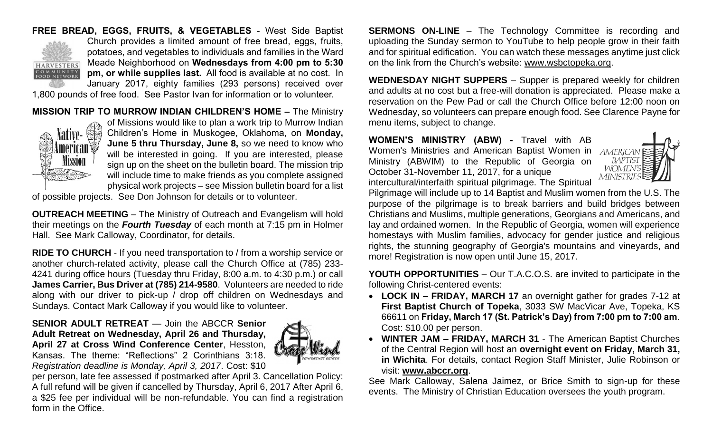### **FREE BREAD, EGGS, FRUITS, & VEGETABLES** - West Side Baptist



Church provides a limited amount of free bread, eggs, fruits, potatoes, and vegetables to individuals and families in the Ward Meade Neighborhood on **Wednesdays from 4:00 pm to 5:30 pm, or while supplies last.** All food is available at no cost. In January 2017, eighty families (293 persons) received over

1,800 pounds of free food. See Pastor Ivan for information or to volunteer.

#### **MISSION TRIP TO MURROW INDIAN CHILDREN'S HOME –** The Ministry



of Missions would like to plan a work trip to Murrow Indian Children's Home in Muskogee, Oklahoma, on **Monday, June 5 thru Thursday, June 8,** so we need to know who will be interested in going. If you are interested, please sign up on the sheet on the bulletin board. The mission trip will include time to make friends as you complete assigned physical work projects – see Mission bulletin board for a list

of possible projects. See Don Johnson for details or to volunteer.

**OUTREACH MEETING** – The Ministry of Outreach and Evangelism will hold their meetings on the *Fourth Tuesday* of each month at 7:15 pm in Holmer Hall. See Mark Calloway, Coordinator, for details.

**RIDE TO CHURCH** - If you need transportation to / from a worship service or another church-related activity, please call the Church Office at (785) 233- 4241 during office hours (Tuesday thru Friday, 8:00 a.m. to 4:30 p.m.) or call **James Carrier, Bus Driver at (785) 214-9580**. Volunteers are needed to ride along with our driver to pick-up / drop off children on Wednesdays and Sundays. Contact Mark Calloway if you would like to volunteer.

#### **SENIOR ADULT RETREAT** — Join the ABCCR **Senior Adult Retreat on Wednesday, April 26 and Thursday, April 27 at Cross Wind Conference Center**, Hesston, Kansas. The theme: "Reflections" 2 Corinthians 3:18. *Registration deadline is Monday, April 3, 2017*. Cost: \$10



per person, late fee assessed if postmarked after April 3. Cancellation Policy: A full refund will be given if cancelled by Thursday, April 6, 2017 After April 6, a \$25 fee per individual will be non-refundable. You can find a registration form in the Office.

**SERMONS ON-LINE** – The Technology Committee is recording and uploading the Sunday sermon to YouTube to help people grow in their faith and for spiritual edification. You can watch these messages anytime just click on the link from the Church's website: [www.wsbctopeka.org.](http://www.wsbctopeka.org/)

**WEDNESDAY NIGHT SUPPERS** – Supper is prepared weekly for children and adults at no cost but a free-will donation is appreciated. Please make a reservation on the Pew Pad or call the Church Office before 12:00 noon on Wednesday, so volunteers can prepare enough food. See Clarence Payne for menu items, subject to change.

**WOMEN'S MINISTRY (ABW) -** Travel with AB Women's Ministries and American Baptist Women in Ministry (ABWIM) to the Republic of Georgia on October 31-November 11, 2017, for a unique intercultural/interfaith spiritual pilgrimage. The Spiritual



Pilgrimage will include up to 14 Baptist and Muslim women from the U.S. The purpose of the pilgrimage is to break barriers and build bridges between Christians and Muslims, multiple generations, Georgians and Americans, and lay and ordained women. In the Republic of Georgia, women will experience homestays with Muslim families, advocacy for gender justice and religious rights, the stunning geography of Georgia's mountains and vineyards, and more! Registration is now open until June 15, 2017.

**YOUTH OPPORTUNITIES** – Our T.A.C.O.S. are invited to participate in the following Christ-centered events:

- **LOCK IN – FRIDAY, MARCH 17** an overnight gather for grades 7-12 at **First Baptist Church of Topeka**, 3033 SW MacVicar Ave, Topeka, KS 66611 on **Friday, March 17 (St. Patrick's Day) from 7:00 pm to 7:00 am**. Cost: \$10.00 per person.
- **WINTER JAM – FRIDAY, MARCH 31**  The American Baptist Churches of the Central Region will host an **overnight event on Friday, March 31, in Wichita**. For details, contact Region Staff Minister, Julie Robinson or visit: **[www.abccr.org](http://www.abccr.org/)**.

See Mark Calloway, Salena Jaimez, or Brice Smith to sign-up for these events. The Ministry of Christian Education oversees the youth program.